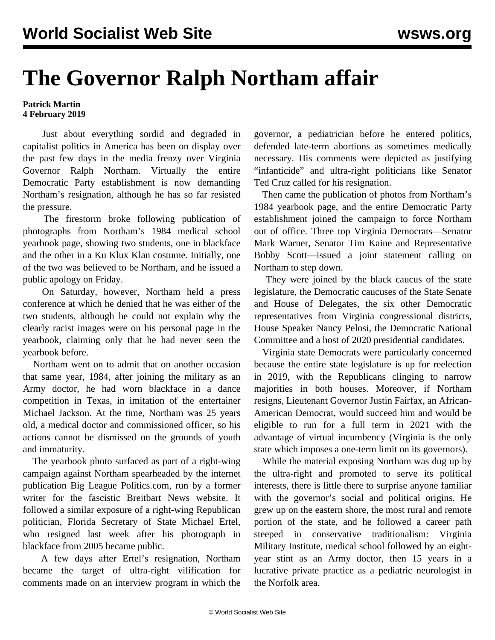## **The Governor Ralph Northam affair**

## **Patrick Martin 4 February 2019**

 Just about everything sordid and degraded in capitalist politics in America has been on display over the past few days in the media frenzy over Virginia Governor Ralph Northam. Virtually the entire Democratic Party establishment is now demanding Northam's resignation, although he has so far resisted the pressure.

 The firestorm broke following publication of photographs from Northam's 1984 medical school yearbook page, showing two students, one in blackface and the other in a Ku Klux Klan costume. Initially, one of the two was believed to be Northam, and he issued a public apology on Friday.

 On Saturday, however, Northam held a press conference at which he denied that he was either of the two students, although he could not explain why the clearly racist images were on his personal page in the yearbook, claiming only that he had never seen the yearbook before.

 Northam went on to admit that on another occasion that same year, 1984, after joining the military as an Army doctor, he had worn blackface in a dance competition in Texas, in imitation of the entertainer Michael Jackson. At the time, Northam was 25 years old, a medical doctor and commissioned officer, so his actions cannot be dismissed on the grounds of youth and immaturity.

 The yearbook photo surfaced as part of a right-wing campaign against Northam spearheaded by the internet publication Big League Politics.com, run by a former writer for the fascistic Breitbart News website. It followed a similar exposure of a right-wing Republican politician, Florida Secretary of State Michael Ertel, who resigned last week after his photograph in blackface from 2005 became public.

 A few days after Ertel's resignation, Northam became the target of ultra-right vilification for comments made on an interview program in which the governor, a pediatrician before he entered politics, defended late-term abortions as sometimes medically necessary. His comments were depicted as justifying "infanticide" and ultra-right politicians like Senator Ted Cruz called for his resignation.

 Then came the publication of photos from Northam's 1984 yearbook page, and the entire Democratic Party establishment joined the campaign to force Northam out of office. Three top Virginia Democrats—Senator Mark Warner, Senator Tim Kaine and Representative Bobby Scott—issued a joint statement calling on Northam to step down.

 They were joined by the black caucus of the state legislature, the Democratic caucuses of the State Senate and House of Delegates, the six other Democratic representatives from Virginia congressional districts, House Speaker Nancy Pelosi, the Democratic National Committee and a host of 2020 presidential candidates.

 Virginia state Democrats were particularly concerned because the entire state legislature is up for reelection in 2019, with the Republicans clinging to narrow majorities in both houses. Moreover, if Northam resigns, Lieutenant Governor Justin Fairfax, an African-American Democrat, would succeed him and would be eligible to run for a full term in 2021 with the advantage of virtual incumbency (Virginia is the only state which imposes a one-term limit on its governors).

 While the material exposing Northam was dug up by the ultra-right and promoted to serve its political interests, there is little there to surprise anyone familiar with the governor's social and political origins. He grew up on the eastern shore, the most rural and remote portion of the state, and he followed a career path steeped in conservative traditionalism: Virginia Military Institute, medical school followed by an eightyear stint as an Army doctor, then 15 years in a lucrative private practice as a pediatric neurologist in the Norfolk area.